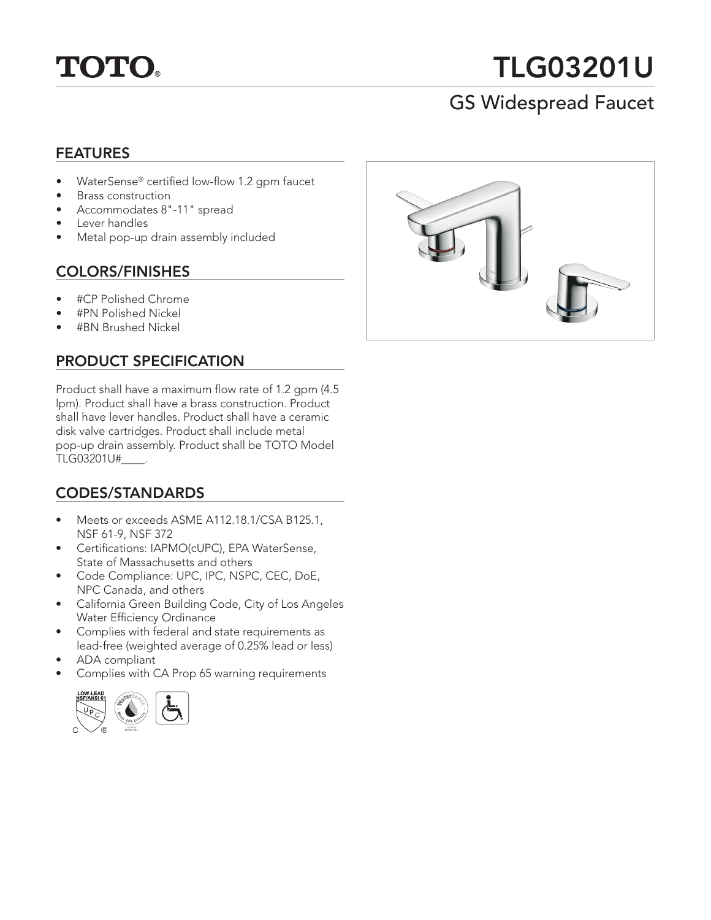

# TLG03201U

# GS Widespread Faucet

### FEATURES

- WaterSense® certified low-flow 1.2 gpm faucet
- Brass construction
- Accommodates 8"-11" spread
- Lever handles
- Metal pop-up drain assembly included

#### COLORS/FINISHES

- #CP Polished Chrome
- #PN Polished Nickel
- #BN Brushed Nickel

## PRODUCT SPECIFICATION

Product shall have a maximum flow rate of 1.2 gpm (4.5 lpm). Product shall have a brass construction. Product shall have lever handles. Product shall have a ceramic disk valve cartridges. Product shall include metal pop-up drain assembly. Product shall be TOTO Model TLG03201U#\_\_\_\_.

# CODES/STANDARDS

- Meets or exceeds ASME A112.18.1/CSA B125.1, NSF 61-9, NSF 372
- Certifications: IAPMO(cUPC), EPA WaterSense, State of Massachusetts and others
- Code Compliance: UPC, IPC, NSPC, CEC, DoE, NPC Canada, and others
- California Green Building Code, City of Los Angeles Water Efficiency Ordinance
- Complies with federal and state requirements as lead-free (weighted average of 0.25% lead or less)
- ADA compliant
- Complies with CA Prop 65 warning requirements